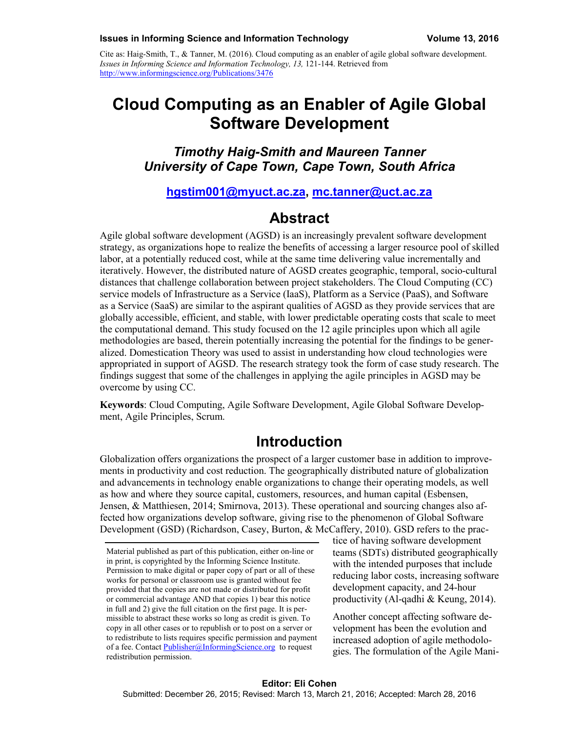Cite as: Haig-Smith, T., & Tanner, M. (2016). Cloud computing as an enabler of agile global software development. *Issues in Informing Science and Information Technology, 13, 121-144. Retrieved from* <http://www.informingscience.org/Publications/3476>

# **Cloud Computing as an Enabler of Agile Global Software Development**

## *Timothy Haig-Smith and Maureen Tanner University of Cape Town, Cape Town, South Africa*

### **hgstim001@myuct.ac.za, [mc.tanner@uct.ac.za](mailto:mc.tanner@uct.ac.za)**

## **Abstract**

Agile global software development (AGSD) is an increasingly prevalent software development strategy, as organizations hope to realize the benefits of accessing a larger resource pool of skilled labor, at a potentially reduced cost, while at the same time delivering value incrementally and iteratively. However, the distributed nature of AGSD creates geographic, temporal, socio-cultural distances that challenge collaboration between project stakeholders. The Cloud Computing (CC) service models of Infrastructure as a Service (IaaS), Platform as a Service (PaaS), and Software as a Service (SaaS) are similar to the aspirant qualities of AGSD as they provide services that are globally accessible, efficient, and stable, with lower predictable operating costs that scale to meet the computational demand. This study focused on the 12 agile principles upon which all agile methodologies are based, therein potentially increasing the potential for the findings to be generalized. Domestication Theory was used to assist in understanding how cloud technologies were appropriated in support of AGSD. The research strategy took the form of case study research. The findings suggest that some of the challenges in applying the agile principles in AGSD may be overcome by using CC.

**Keywords**: Cloud Computing, Agile Software Development, Agile Global Software Development, Agile Principles, Scrum.

## **Introduction**

Globalization offers organizations the prospect of a larger customer base in addition to improvements in productivity and cost reduction. The geographically distributed nature of globalization and advancements in technology enable organizations to change their operating models, as well as how and where they source capital, customers, resources, and human capital (Esbensen, Jensen, & Matthiesen, 2014; Smirnova, 2013). These operational and sourcing changes also affected how organizations develop software, giving rise to the phenomenon of Global Software Development (GSD) (Richardson, Casey, Burton, & McCaffery, 2010). GSD refers to the prac-

tice of having software development teams (SDTs) distributed geographically with the intended purposes that include reducing labor costs, increasing software development capacity, and 24-hour productivity (Al-qadhi & Keung, 2014).

Another concept affecting software development has been the evolution and increased adoption of agile methodologies. The formulation of the Agile Mani-

Material published as part of this publication, either on-line or in print, is copyrighted by the Informing Science Institute. Permission to make digital or paper copy of part or all of these works for personal or classroom use is granted without fee provided that the copies are not made or distributed for profit or commercial advantage AND that copies 1) bear this notice in full and 2) give the full citation on the first page. It is permissible to abstract these works so long as credit is given. To copy in all other cases or to republish or to post on a server or to redistribute to lists requires specific permission and payment of a fee. Contact [Publisher@InformingScience.org](mailto:Publisher@InformingScience.org) to request redistribution permission.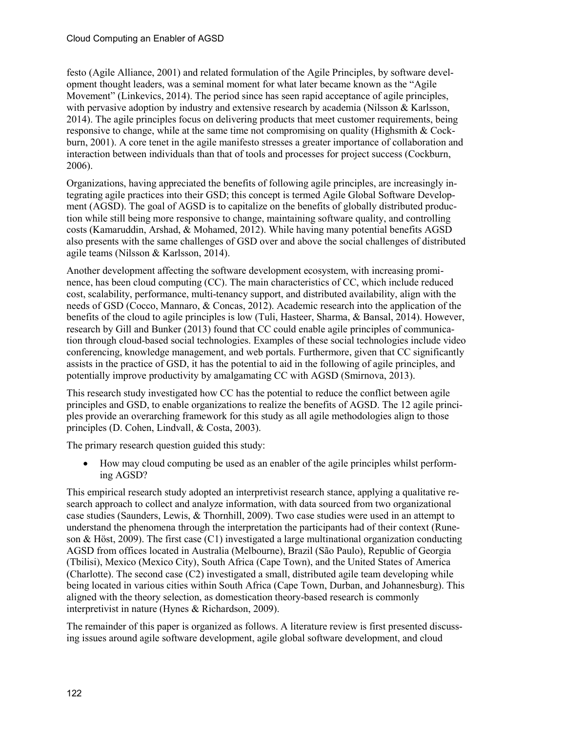festo (Agile Alliance, 2001) and related formulation of the Agile Principles, by software development thought leaders, was a seminal moment for what later became known as the "Agile Movement" (Linkevics, 2014). The period since has seen rapid acceptance of agile principles, with pervasive adoption by industry and extensive research by academia (Nilsson & Karlsson, 2014). The agile principles focus on delivering products that meet customer requirements, being responsive to change, while at the same time not compromising on quality (Highsmith & Cockburn, 2001). A core tenet in the agile manifesto stresses a greater importance of collaboration and interaction between individuals than that of tools and processes for project success (Cockburn, 2006).

Organizations, having appreciated the benefits of following agile principles, are increasingly integrating agile practices into their GSD; this concept is termed Agile Global Software Development (AGSD). The goal of AGSD is to capitalize on the benefits of globally distributed production while still being more responsive to change, maintaining software quality, and controlling costs (Kamaruddin, Arshad, & Mohamed, 2012). While having many potential benefits AGSD also presents with the same challenges of GSD over and above the social challenges of distributed agile teams (Nilsson & Karlsson, 2014).

Another development affecting the software development ecosystem, with increasing prominence, has been cloud computing (CC). The main characteristics of CC, which include reduced cost, scalability, performance, multi-tenancy support, and distributed availability, align with the needs of GSD (Cocco, Mannaro, & Concas, 2012). Academic research into the application of the benefits of the cloud to agile principles is low (Tuli, Hasteer, Sharma, & Bansal, 2014). However, research by Gill and Bunker (2013) found that CC could enable agile principles of communication through cloud-based social technologies. Examples of these social technologies include video conferencing, knowledge management, and web portals. Furthermore, given that CC significantly assists in the practice of GSD, it has the potential to aid in the following of agile principles, and potentially improve productivity by amalgamating CC with AGSD (Smirnova, 2013).

This research study investigated how CC has the potential to reduce the conflict between agile principles and GSD, to enable organizations to realize the benefits of AGSD. The 12 agile principles provide an overarching framework for this study as all agile methodologies align to those principles (D. Cohen, Lindvall, & Costa, 2003).

The primary research question guided this study:

• How may cloud computing be used as an enabler of the agile principles whilst performing AGSD?

This empirical research study adopted an interpretivist research stance, applying a qualitative research approach to collect and analyze information, with data sourced from two organizational case studies (Saunders, Lewis, & Thornhill, 2009). Two case studies were used in an attempt to understand the phenomena through the interpretation the participants had of their context (Runeson & Höst, 2009). The first case (C1) investigated a large multinational organization conducting AGSD from offices located in Australia (Melbourne), Brazil (São Paulo), Republic of Georgia (Tbilisi), Mexico (Mexico City), South Africa (Cape Town), and the United States of America (Charlotte). The second case (C2) investigated a small, distributed agile team developing while being located in various cities within South Africa (Cape Town, Durban, and Johannesburg). This aligned with the theory selection, as domestication theory-based research is commonly interpretivist in nature (Hynes & Richardson, 2009).

The remainder of this paper is organized as follows. A literature review is first presented discussing issues around agile software development, agile global software development, and cloud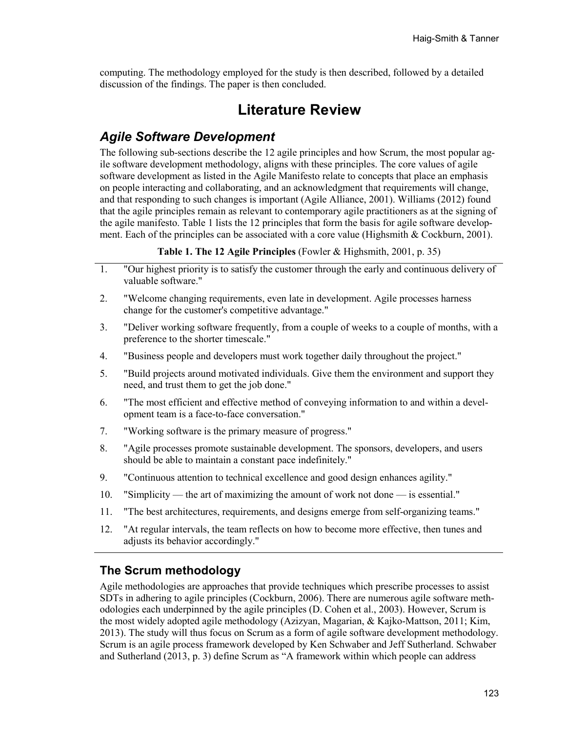computing. The methodology employed for the study is then described, followed by a detailed discussion of the findings. The paper is then concluded.

## **Literature Review**

## *Agile Software Development*

The following sub-sections describe the 12 agile principles and how Scrum, the most popular agile software development methodology, aligns with these principles. The core values of agile software development as listed in the Agile Manifesto relate to concepts that place an emphasis on people interacting and collaborating, and an acknowledgment that requirements will change, and that responding to such changes is important (Agile Alliance, 2001). Williams (2012) found that the agile principles remain as relevant to contemporary agile practitioners as at the signing of the agile manifesto. Table 1 lists the 12 principles that form the basis for agile software development. Each of the principles can be associated with a core value (Highsmith & Cockburn, 2001).

#### **Table 1. The 12 Agile Principles** (Fowler & Highsmith, 2001, p. 35)

- 1. "Our highest priority is to satisfy the customer through the early and continuous delivery of valuable software."
- 2. "Welcome changing requirements, even late in development. Agile processes harness change for the customer's competitive advantage."
- 3. "Deliver working software frequently, from a couple of weeks to a couple of months, with a preference to the shorter timescale."
- 4. "Business people and developers must work together daily throughout the project."
- 5. "Build projects around motivated individuals. Give them the environment and support they need, and trust them to get the job done."
- 6. "The most efficient and effective method of conveying information to and within a development team is a face-to-face conversation."
- 7. "Working software is the primary measure of progress."
- 8. "Agile processes promote sustainable development. The sponsors, developers, and users should be able to maintain a constant pace indefinitely."
- 9. "Continuous attention to technical excellence and good design enhances agility."
- 10. "Simplicity the art of maximizing the amount of work not done is essential."
- 11. "The best architectures, requirements, and designs emerge from self-organizing teams."
- 12. "At regular intervals, the team reflects on how to become more effective, then tunes and adjusts its behavior accordingly."

### **The Scrum methodology**

Agile methodologies are approaches that provide techniques which prescribe processes to assist SDTs in adhering to agile principles (Cockburn, 2006). There are numerous agile software methodologies each underpinned by the agile principles (D. Cohen et al., 2003). However, Scrum is the most widely adopted agile methodology (Azizyan, Magarian, & Kajko-Mattson, 2011; Kim, 2013). The study will thus focus on Scrum as a form of agile software development methodology. Scrum is an agile process framework developed by Ken Schwaber and Jeff Sutherland. Schwaber and Sutherland (2013, p. 3) define Scrum as "A framework within which people can address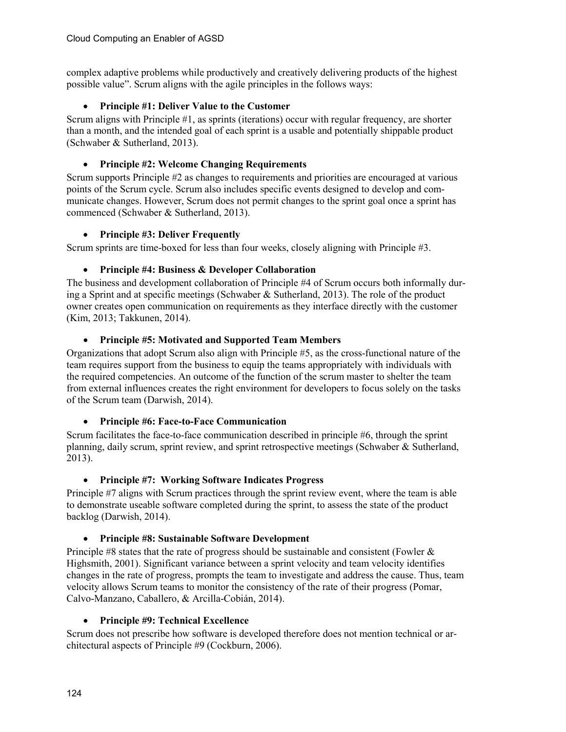complex adaptive problems while productively and creatively delivering products of the highest possible value". Scrum aligns with the agile principles in the follows ways:

#### • **Principle #1: Deliver Value to the Customer**

Scrum aligns with Principle #1, as sprints (iterations) occur with regular frequency, are shorter than a month, and the intended goal of each sprint is a usable and potentially shippable product (Schwaber & Sutherland, 2013).

#### • **Principle #2: Welcome Changing Requirements**

Scrum supports Principle #2 as changes to requirements and priorities are encouraged at various points of the Scrum cycle. Scrum also includes specific events designed to develop and communicate changes. However, Scrum does not permit changes to the sprint goal once a sprint has commenced (Schwaber & Sutherland, 2013).

#### • **Principle #3: Deliver Frequently**

Scrum sprints are time-boxed for less than four weeks, closely aligning with Principle #3.

### • **Principle #4: Business & Developer Collaboration**

The business and development collaboration of Principle #4 of Scrum occurs both informally during a Sprint and at specific meetings (Schwaber & Sutherland, 2013). The role of the product owner creates open communication on requirements as they interface directly with the customer (Kim, 2013; Takkunen, 2014).

#### • **Principle #5: Motivated and Supported Team Members**

Organizations that adopt Scrum also align with Principle #5, as the cross-functional nature of the team requires support from the business to equip the teams appropriately with individuals with the required competencies. An outcome of the function of the scrum master to shelter the team from external influences creates the right environment for developers to focus solely on the tasks of the Scrum team (Darwish, 2014).

### • **Principle #6: Face-to-Face Communication**

Scrum facilitates the face-to-face communication described in principle #6, through the sprint planning, daily scrum, sprint review, and sprint retrospective meetings (Schwaber & Sutherland, 2013).

### • **Principle #7: Working Software Indicates Progress**

Principle #7 aligns with Scrum practices through the sprint review event, where the team is able to demonstrate useable software completed during the sprint, to assess the state of the product backlog (Darwish, 2014).

### • **Principle #8: Sustainable Software Development**

Principle #8 states that the rate of progress should be sustainable and consistent (Fowler & Highsmith, 2001). Significant variance between a sprint velocity and team velocity identifies changes in the rate of progress, prompts the team to investigate and address the cause. Thus, team velocity allows Scrum teams to monitor the consistency of the rate of their progress (Pomar, Calvo-Manzano, Caballero, & Arcilla-Cobián, 2014).

### • **Principle #9: Technical Excellence**

Scrum does not prescribe how software is developed therefore does not mention technical or architectural aspects of Principle #9 (Cockburn, 2006).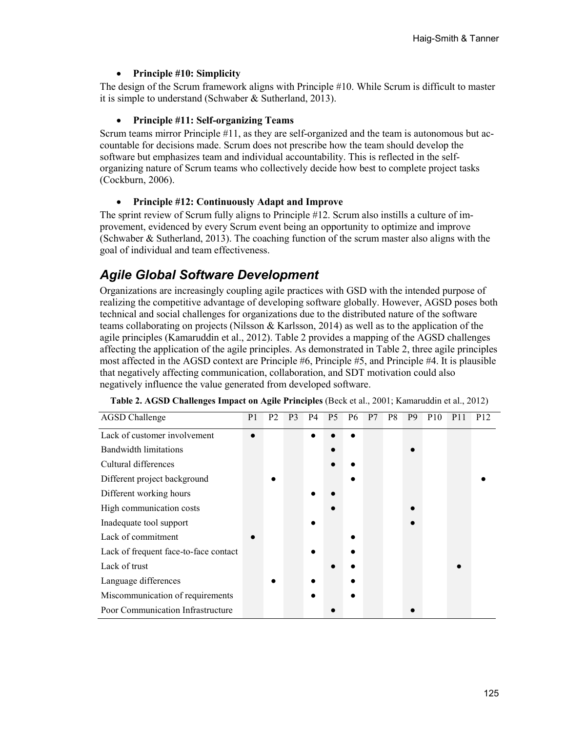#### • **Principle #10: Simplicity**

The design of the Scrum framework aligns with Principle #10. While Scrum is difficult to master it is simple to understand (Schwaber & Sutherland, 2013).

#### • **Principle #11: Self-organizing Teams**

Scrum teams mirror Principle #11, as they are self-organized and the team is autonomous but accountable for decisions made. Scrum does not prescribe how the team should develop the software but emphasizes team and individual accountability. This is reflected in the selforganizing nature of Scrum teams who collectively decide how best to complete project tasks (Cockburn, 2006).

#### • **Principle #12: Continuously Adapt and Improve**

The sprint review of Scrum fully aligns to Principle #12. Scrum also instills a culture of improvement, evidenced by every Scrum event being an opportunity to optimize and improve (Schwaber & Sutherland, 2013). The coaching function of the scrum master also aligns with the goal of individual and team effectiveness.

## *Agile Global Software Development*

Organizations are increasingly coupling agile practices with GSD with the intended purpose of realizing the competitive advantage of developing software globally. However, AGSD poses both technical and social challenges for organizations due to the distributed nature of the software teams collaborating on projects (Nilsson & Karlsson, 2014) as well as to the application of the agile principles (Kamaruddin et al., 2012). Table 2 provides a mapping of the AGSD challenges affecting the application of the agile principles. As demonstrated in Table 2, three agile principles most affected in the AGSD context are Principle #6, Principle #5, and Principle #4. It is plausible that negatively affecting communication, collaboration, and SDT motivation could also negatively influence the value generated from developed software.

| <b>AGSD</b> Challenge                 | P <sub>1</sub> | P <sub>2</sub> | P <sub>3</sub> | <b>P4</b> | <b>P5</b> | P <sub>6</sub> | P <sub>7</sub> | P8 | P <sub>9</sub> | P <sub>10</sub> | P <sub>12</sub> |
|---------------------------------------|----------------|----------------|----------------|-----------|-----------|----------------|----------------|----|----------------|-----------------|-----------------|
| Lack of customer involvement          |                |                |                |           |           |                |                |    |                |                 |                 |
| <b>Bandwidth limitations</b>          |                |                |                |           |           |                |                |    |                |                 |                 |
| Cultural differences                  |                |                |                |           |           |                |                |    |                |                 |                 |
| Different project background          |                |                |                |           |           |                |                |    |                |                 |                 |
| Different working hours               |                |                |                |           |           |                |                |    |                |                 |                 |
| High communication costs              |                |                |                |           |           |                |                |    |                |                 |                 |
| Inadequate tool support               |                |                |                |           |           |                |                |    |                |                 |                 |
| Lack of commitment                    |                |                |                |           |           |                |                |    |                |                 |                 |
| Lack of frequent face-to-face contact |                |                |                |           |           |                |                |    |                |                 |                 |
| Lack of trust                         |                |                |                |           |           |                |                |    |                |                 |                 |
| Language differences                  |                |                |                |           |           |                |                |    |                |                 |                 |
| Miscommunication of requirements      |                |                |                |           |           |                |                |    |                |                 |                 |
| Poor Communication Infrastructure     |                |                |                |           |           |                |                |    |                |                 |                 |

| Table 2. AGSD Challenges Impact on Agile Principles (Beck et al., 2001; Kamaruddin et al., 2012) |  |  |  |  |
|--------------------------------------------------------------------------------------------------|--|--|--|--|
|--------------------------------------------------------------------------------------------------|--|--|--|--|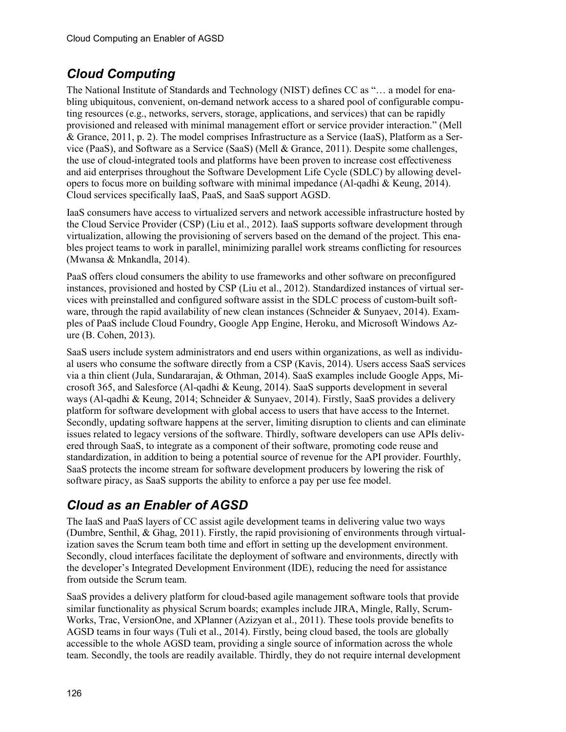# *Cloud Computing*

The National Institute of Standards and Technology (NIST) defines CC as "… a model for enabling ubiquitous, convenient, on-demand network access to a shared pool of configurable computing resources (e.g., networks, servers, storage, applications, and services) that can be rapidly provisioned and released with minimal management effort or service provider interaction." (Mell & Grance, 2011, p. 2). The model comprises Infrastructure as a Service (IaaS), Platform as a Service (PaaS), and Software as a Service (SaaS) (Mell & Grance, 2011). Despite some challenges, the use of cloud-integrated tools and platforms have been proven to increase cost effectiveness and aid enterprises throughout the Software Development Life Cycle (SDLC) by allowing developers to focus more on building software with minimal impedance (Al-qadhi & Keung, 2014). Cloud services specifically IaaS, PaaS, and SaaS support AGSD.

IaaS consumers have access to virtualized servers and network accessible infrastructure hosted by the Cloud Service Provider (CSP) (Liu et al., 2012). IaaS supports software development through virtualization, allowing the provisioning of servers based on the demand of the project. This enables project teams to work in parallel, minimizing parallel work streams conflicting for resources (Mwansa & Mnkandla, 2014).

PaaS offers cloud consumers the ability to use frameworks and other software on preconfigured instances, provisioned and hosted by CSP (Liu et al., 2012). Standardized instances of virtual services with preinstalled and configured software assist in the SDLC process of custom-built software, through the rapid availability of new clean instances (Schneider & Sunyaev, 2014). Examples of PaaS include Cloud Foundry, Google App Engine, Heroku, and Microsoft Windows Azure (B. Cohen, 2013).

SaaS users include system administrators and end users within organizations, as well as individual users who consume the software directly from a CSP (Kavis, 2014). Users access SaaS services via a thin client (Jula, Sundararajan, & Othman, 2014). SaaS examples include Google Apps, Microsoft 365, and Salesforce (Al-qadhi & Keung, 2014). SaaS supports development in several ways (Al-qadhi & Keung, 2014; Schneider & Sunyaev, 2014). Firstly, SaaS provides a delivery platform for software development with global access to users that have access to the Internet. Secondly, updating software happens at the server, limiting disruption to clients and can eliminate issues related to legacy versions of the software. Thirdly, software developers can use APIs delivered through SaaS, to integrate as a component of their software, promoting code reuse and standardization, in addition to being a potential source of revenue for the API provider. Fourthly, SaaS protects the income stream for software development producers by lowering the risk of software piracy, as SaaS supports the ability to enforce a pay per use fee model.

# *Cloud as an Enabler of AGSD*

The IaaS and PaaS layers of CC assist agile development teams in delivering value two ways (Dumbre, Senthil, & Ghag, 2011). Firstly, the rapid provisioning of environments through virtualization saves the Scrum team both time and effort in setting up the development environment. Secondly, cloud interfaces facilitate the deployment of software and environments, directly with the developer's Integrated Development Environment (IDE), reducing the need for assistance from outside the Scrum team.

SaaS provides a delivery platform for cloud-based agile management software tools that provide similar functionality as physical Scrum boards; examples include JIRA, Mingle, Rally, Scrum-Works, Trac, VersionOne, and XPlanner (Azizyan et al., 2011). These tools provide benefits to AGSD teams in four ways (Tuli et al., 2014). Firstly, being cloud based, the tools are globally accessible to the whole AGSD team, providing a single source of information across the whole team. Secondly, the tools are readily available. Thirdly, they do not require internal development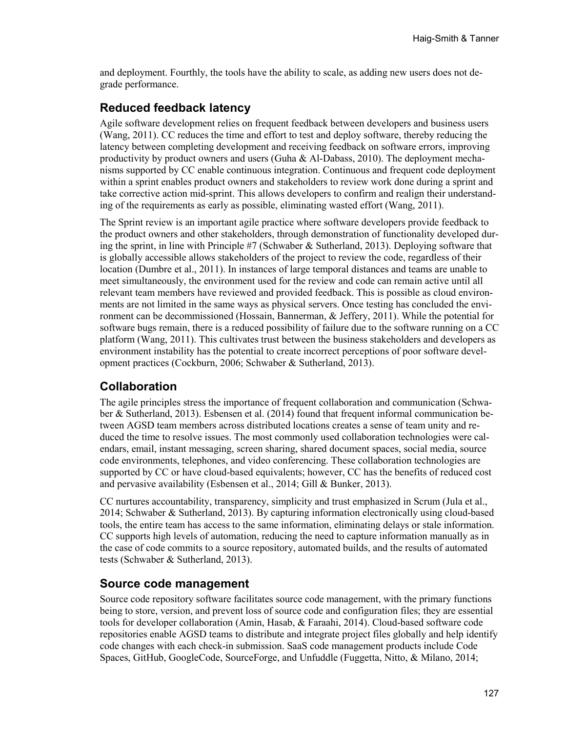and deployment. Fourthly, the tools have the ability to scale, as adding new users does not degrade performance.

### **Reduced feedback latency**

Agile software development relies on frequent feedback between developers and business users (Wang, 2011). CC reduces the time and effort to test and deploy software, thereby reducing the latency between completing development and receiving feedback on software errors, improving productivity by product owners and users (Guha & Al-Dabass, 2010). The deployment mechanisms supported by CC enable continuous integration. Continuous and frequent code deployment within a sprint enables product owners and stakeholders to review work done during a sprint and take corrective action mid-sprint. This allows developers to confirm and realign their understanding of the requirements as early as possible, eliminating wasted effort (Wang, 2011).

The Sprint review is an important agile practice where software developers provide feedback to the product owners and other stakeholders, through demonstration of functionality developed during the sprint, in line with Principle #7 (Schwaber & Sutherland, 2013). Deploying software that is globally accessible allows stakeholders of the project to review the code, regardless of their location (Dumbre et al., 2011). In instances of large temporal distances and teams are unable to meet simultaneously, the environment used for the review and code can remain active until all relevant team members have reviewed and provided feedback. This is possible as cloud environments are not limited in the same ways as physical servers. Once testing has concluded the environment can be decommissioned (Hossain, Bannerman, & Jeffery, 2011). While the potential for software bugs remain, there is a reduced possibility of failure due to the software running on a CC platform (Wang, 2011). This cultivates trust between the business stakeholders and developers as environment instability has the potential to create incorrect perceptions of poor software development practices (Cockburn, 2006; Schwaber & Sutherland, 2013).

### **Collaboration**

The agile principles stress the importance of frequent collaboration and communication (Schwaber & Sutherland, 2013). Esbensen et al. (2014) found that frequent informal communication between AGSD team members across distributed locations creates a sense of team unity and reduced the time to resolve issues. The most commonly used collaboration technologies were calendars, email, instant messaging, screen sharing, shared document spaces, social media, source code environments, telephones, and video conferencing. These collaboration technologies are supported by CC or have cloud-based equivalents; however, CC has the benefits of reduced cost and pervasive availability (Esbensen et al., 2014; Gill & Bunker, 2013).

CC nurtures accountability, transparency, simplicity and trust emphasized in Scrum (Jula et al., 2014; Schwaber & Sutherland, 2013). By capturing information electronically using cloud-based tools, the entire team has access to the same information, eliminating delays or stale information. CC supports high levels of automation, reducing the need to capture information manually as in the case of code commits to a source repository, automated builds, and the results of automated tests (Schwaber & Sutherland, 2013).

### **Source code management**

Source code repository software facilitates source code management, with the primary functions being to store, version, and prevent loss of source code and configuration files; they are essential tools for developer collaboration (Amin, Hasab, & Faraahi, 2014). Cloud-based software code repositories enable AGSD teams to distribute and integrate project files globally and help identify code changes with each check-in submission. SaaS code management products include Code Spaces, GitHub, GoogleCode, SourceForge, and Unfuddle (Fuggetta, Nitto, & Milano, 2014;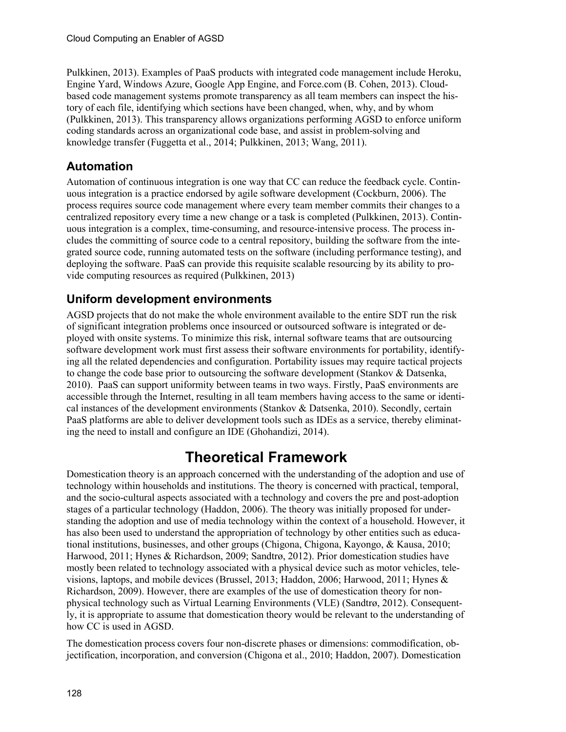Pulkkinen, 2013). Examples of PaaS products with integrated code management include Heroku, Engine Yard, Windows Azure, Google App Engine, and Force.com (B. Cohen, 2013). Cloudbased code management systems promote transparency as all team members can inspect the history of each file, identifying which sections have been changed, when, why, and by whom (Pulkkinen, 2013). This transparency allows organizations performing AGSD to enforce uniform coding standards across an organizational code base, and assist in problem-solving and knowledge transfer (Fuggetta et al., 2014; Pulkkinen, 2013; Wang, 2011).

## **Automation**

Automation of continuous integration is one way that CC can reduce the feedback cycle. Continuous integration is a practice endorsed by agile software development (Cockburn, 2006). The process requires source code management where every team member commits their changes to a centralized repository every time a new change or a task is completed (Pulkkinen, 2013). Continuous integration is a complex, time-consuming, and resource-intensive process. The process includes the committing of source code to a central repository, building the software from the integrated source code, running automated tests on the software (including performance testing), and deploying the software. PaaS can provide this requisite scalable resourcing by its ability to provide computing resources as required (Pulkkinen, 2013)

## **Uniform development environments**

AGSD projects that do not make the whole environment available to the entire SDT run the risk of significant integration problems once insourced or outsourced software is integrated or deployed with onsite systems. To minimize this risk, internal software teams that are outsourcing software development work must first assess their software environments for portability, identifying all the related dependencies and configuration. Portability issues may require tactical projects to change the code base prior to outsourcing the software development (Stankov & Datsenka, 2010). PaaS can support uniformity between teams in two ways. Firstly, PaaS environments are accessible through the Internet, resulting in all team members having access to the same or identical instances of the development environments (Stankov & Datsenka, 2010). Secondly, certain PaaS platforms are able to deliver development tools such as IDEs as a service, thereby eliminating the need to install and configure an IDE (Ghohandizi, 2014).

# **Theoretical Framework**

Domestication theory is an approach concerned with the understanding of the adoption and use of technology within households and institutions. The theory is concerned with practical, temporal, and the socio-cultural aspects associated with a technology and covers the pre and post-adoption stages of a particular technology (Haddon, 2006). The theory was initially proposed for understanding the adoption and use of media technology within the context of a household. However, it has also been used to understand the appropriation of technology by other entities such as educational institutions, businesses, and other groups (Chigona, Chigona, Kayongo, & Kausa, 2010; Harwood, 2011; Hynes & Richardson, 2009; Sandtrø, 2012). Prior domestication studies have mostly been related to technology associated with a physical device such as motor vehicles, televisions, laptops, and mobile devices (Brussel, 2013; Haddon, 2006; Harwood, 2011; Hynes & Richardson, 2009). However, there are examples of the use of domestication theory for nonphysical technology such as Virtual Learning Environments (VLE) (Sandtrø, 2012). Consequently, it is appropriate to assume that domestication theory would be relevant to the understanding of how CC is used in AGSD.

The domestication process covers four non-discrete phases or dimensions: commodification, objectification, incorporation, and conversion (Chigona et al., 2010; Haddon, 2007). Domestication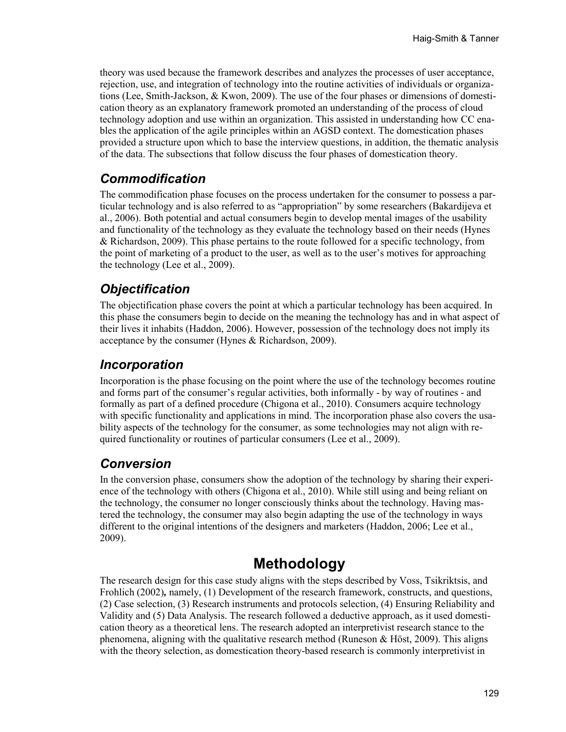theory was used because the framework describes and analyzes the processes of user acceptance, rejection, use, and integration of technology into the routine activities of individuals or organizations (Lee, Smith-Jackson, & Kwon, 2009). The use of the four phases or dimensions of domestication theory as an explanatory framework promoted an understanding of the process of cloud technology adoption and use within an organization. This assisted in understanding how CC enables the application of the agile principles within an AGSD context. The domestication phases provided a structure upon which to base the interview questions, in addition, the thematic analysis of the data. The subsections that follow discuss the four phases of domestication theory.

## *Commodification*

The commodification phase focuses on the process undertaken for the consumer to possess a particular technology and is also referred to as "appropriation" by some researchers (Bakardijeva et al., 2006). Both potential and actual consumers begin to develop mental images of the usability and functionality of the technology as they evaluate the technology based on their needs (Hynes & Richardson, 2009). This phase pertains to the route followed for a specific technology, from the point of marketing of a product to the user, as well as to the user's motives for approaching the technology (Lee et al., 2009).

## *Objectification*

The objectification phase covers the point at which a particular technology has been acquired. In this phase the consumers begin to decide on the meaning the technology has and in what aspect of their lives it inhabits (Haddon, 2006). However, possession of the technology does not imply its acceptance by the consumer (Hynes & Richardson, 2009).

## *Incorporation*

Incorporation is the phase focusing on the point where the use of the technology becomes routine and forms part of the consumer's regular activities, both informally - by way of routines - and formally as part of a defined procedure (Chigona et al., 2010). Consumers acquire technology with specific functionality and applications in mind. The incorporation phase also covers the usability aspects of the technology for the consumer, as some technologies may not align with required functionality or routines of particular consumers (Lee et al., 2009).

## *Conversion*

In the conversion phase, consumers show the adoption of the technology by sharing their experience of the technology with others (Chigona et al., 2010). While still using and being reliant on the technology, the consumer no longer consciously thinks about the technology. Having mastered the technology, the consumer may also begin adapting the use of the technology in ways different to the original intentions of the designers and marketers (Haddon, 2006; Lee et al., 2009).

# **Methodology**

The research design for this case study aligns with the steps described by Voss, Tsikriktsis, and Frohlich (2002)*,* namely, (1) Development of the research framework, constructs, and questions, (2) Case selection, (3) Research instruments and protocols selection, (4) Ensuring Reliability and Validity and (5) Data Analysis. The research followed a deductive approach, as it used domestication theory as a theoretical lens. The research adopted an interpretivist research stance to the phenomena, aligning with the qualitative research method (Runeson  $\&$  Höst, 2009). This aligns with the theory selection, as domestication theory-based research is commonly interpretivist in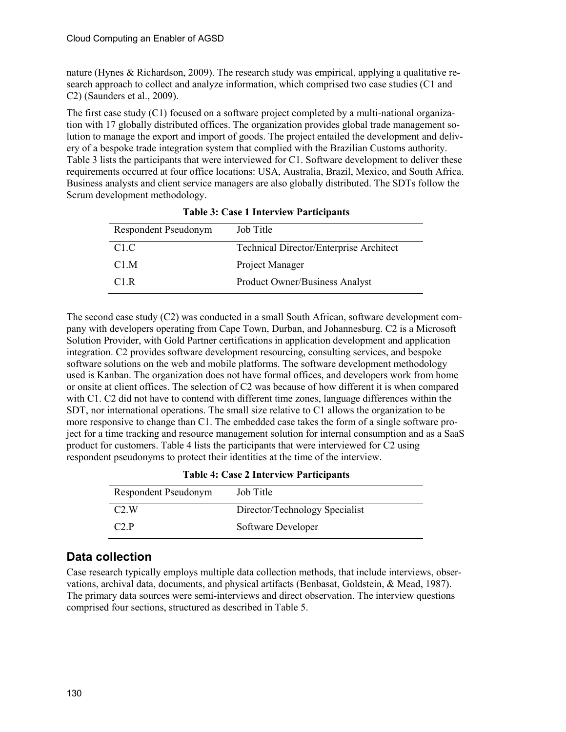nature (Hynes & Richardson, 2009). The research study was empirical, applying a qualitative research approach to collect and analyze information, which comprised two case studies (C1 and C2) (Saunders et al., 2009).

The first case study (C1) focused on a software project completed by a multi-national organization with 17 globally distributed offices. The organization provides global trade management solution to manage the export and import of goods. The project entailed the development and delivery of a bespoke trade integration system that complied with the Brazilian Customs authority. Table 3 lists the participants that were interviewed for C1. Software development to deliver these requirements occurred at four office locations: USA, Australia, Brazil, Mexico, and South Africa. Business analysts and client service managers are also globally distributed. The SDTs follow the Scrum development methodology.

| Respondent Pseudonym | Job Title                               |
|----------------------|-----------------------------------------|
| C <sub>1.C</sub>     | Technical Director/Enterprise Architect |
| C <sub>1</sub> M     | Project Manager                         |
| C <sub>1</sub> .R    | <b>Product Owner/Business Analyst</b>   |

|  | <b>Table 3: Case 1 Interview Participants</b> |
|--|-----------------------------------------------|
|  |                                               |

The second case study (C2) was conducted in a small South African, software development company with developers operating from Cape Town, Durban, and Johannesburg. C2 is a Microsoft Solution Provider, with Gold Partner certifications in application development and application integration. C2 provides software development resourcing, consulting services, and bespoke software solutions on the web and mobile platforms. The software development methodology used is Kanban. The organization does not have formal offices, and developers work from home or onsite at client offices. The selection of C2 was because of how different it is when compared with C1. C2 did not have to contend with different time zones, language differences within the SDT, nor international operations. The small size relative to C1 allows the organization to be more responsive to change than C1. The embedded case takes the form of a single software project for a time tracking and resource management solution for internal consumption and as a SaaS product for customers. Table 4 lists the participants that were interviewed for C2 using respondent pseudonyms to protect their identities at the time of the interview.

| Respondent Pseudonym | Job Title                      |
|----------------------|--------------------------------|
| C2.W                 | Director/Technology Specialist |
| C2P                  | Software Developer             |

**Table 4: Case 2 Interview Participants**

## **Data collection**

Case research typically employs multiple data collection methods, that include interviews, observations, archival data, documents, and physical artifacts (Benbasat, Goldstein, & Mead, 1987). The primary data sources were semi-interviews and direct observation. The interview questions comprised four sections, structured as described in Table 5.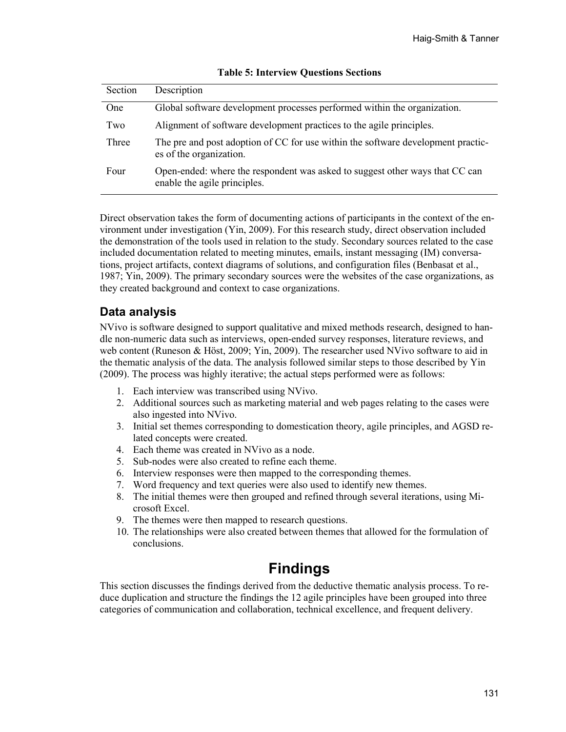| Section | Description                                                                                                  |
|---------|--------------------------------------------------------------------------------------------------------------|
| One     | Global software development processes performed within the organization.                                     |
| Two     | Alignment of software development practices to the agile principles.                                         |
| Three   | The pre and post adoption of CC for use within the software development practic-<br>es of the organization.  |
| Four    | Open-ended: where the respondent was asked to suggest other ways that CC can<br>enable the agile principles. |

#### **Table 5: Interview Questions Sections**

Direct observation takes the form of documenting actions of participants in the context of the environment under investigation (Yin, 2009). For this research study, direct observation included the demonstration of the tools used in relation to the study. Secondary sources related to the case included documentation related to meeting minutes, emails, instant messaging (IM) conversations, project artifacts, context diagrams of solutions, and configuration files (Benbasat et al., 1987; Yin, 2009). The primary secondary sources were the websites of the case organizations, as they created background and context to case organizations.

### **Data analysis**

NVivo is software designed to support qualitative and mixed methods research, designed to handle non-numeric data such as interviews, open-ended survey responses, literature reviews, and web content (Runeson & Höst, 2009; Yin, 2009). The researcher used NVivo software to aid in the thematic analysis of the data. The analysis followed similar steps to those described by Yin (2009). The process was highly iterative; the actual steps performed were as follows:

- 1. Each interview was transcribed using NVivo.
- 2. Additional sources such as marketing material and web pages relating to the cases were also ingested into NVivo.
- 3. Initial set themes corresponding to domestication theory, agile principles, and AGSD related concepts were created.
- 4. Each theme was created in NVivo as a node.
- 5. Sub-nodes were also created to refine each theme.
- 6. Interview responses were then mapped to the corresponding themes.
- 7. Word frequency and text queries were also used to identify new themes.
- 8. The initial themes were then grouped and refined through several iterations, using Microsoft Excel.
- 9. The themes were then mapped to research questions.
- 10. The relationships were also created between themes that allowed for the formulation of conclusions.

# **Findings**

This section discusses the findings derived from the deductive thematic analysis process. To reduce duplication and structure the findings the 12 agile principles have been grouped into three categories of communication and collaboration, technical excellence, and frequent delivery.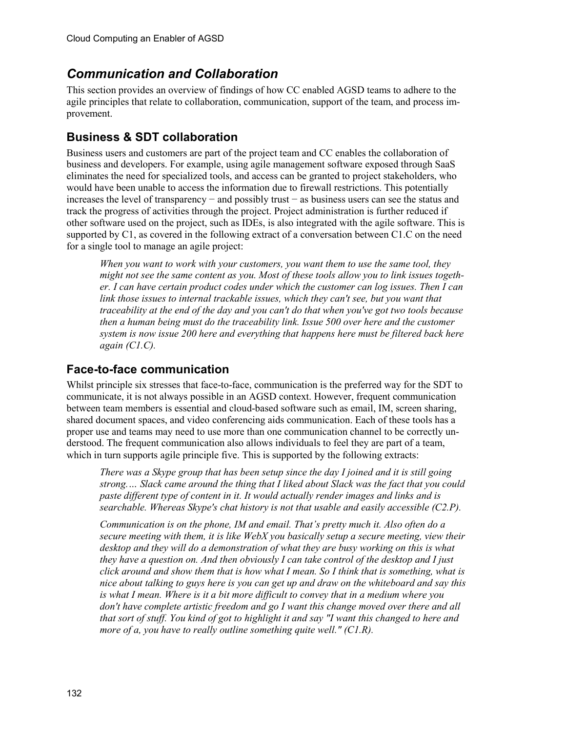## *Communication and Collaboration*

This section provides an overview of findings of how CC enabled AGSD teams to adhere to the agile principles that relate to collaboration, communication, support of the team, and process improvement.

## **Business & SDT collaboration**

Business users and customers are part of the project team and CC enables the collaboration of business and developers. For example, using agile management software exposed through SaaS eliminates the need for specialized tools, and access can be granted to project stakeholders, who would have been unable to access the information due to firewall restrictions. This potentially increases the level of transparency − and possibly trust − as business users can see the status and track the progress of activities through the project. Project administration is further reduced if other software used on the project, such as IDEs, is also integrated with the agile software. This is supported by C1, as covered in the following extract of a conversation between C1.C on the need for a single tool to manage an agile project:

*When you want to work with your customers, you want them to use the same tool, they might not see the same content as you. Most of these tools allow you to link issues together. I can have certain product codes under which the customer can log issues. Then I can link those issues to internal trackable issues, which they can't see, but you want that traceability at the end of the day and you can't do that when you've got two tools because then a human being must do the traceability link. Issue 500 over here and the customer system is now issue 200 here and everything that happens here must be filtered back here again (C1.C).*

## **Face-to-face communication**

Whilst principle six stresses that face-to-face, communication is the preferred way for the SDT to communicate, it is not always possible in an AGSD context. However, frequent communication between team members is essential and cloud-based software such as email, IM, screen sharing, shared document spaces, and video conferencing aids communication. Each of these tools has a proper use and teams may need to use more than one communication channel to be correctly understood. The frequent communication also allows individuals to feel they are part of a team, which in turn supports agile principle five. This is supported by the following extracts:

*There was a Skype group that has been setup since the day I joined and it is still going strong.… Slack came around the thing that I liked about Slack was the fact that you could paste different type of content in it. It would actually render images and links and is searchable. Whereas Skype's chat history is not that usable and easily accessible (C2.P).* 

*Communication is on the phone, IM and email. That's pretty much it. Also often do a secure meeting with them, it is like WebX you basically setup a secure meeting, view their desktop and they will do a demonstration of what they are busy working on this is what they have a question on. And then obviously I can take control of the desktop and I just click around and show them that is how what I mean. So I think that is something, what is nice about talking to guys here is you can get up and draw on the whiteboard and say this is what I mean. Where is it a bit more difficult to convey that in a medium where you don't have complete artistic freedom and go I want this change moved over there and all that sort of stuff. You kind of got to highlight it and say "I want this changed to here and more of a, you have to really outline something quite well." (C1.R).*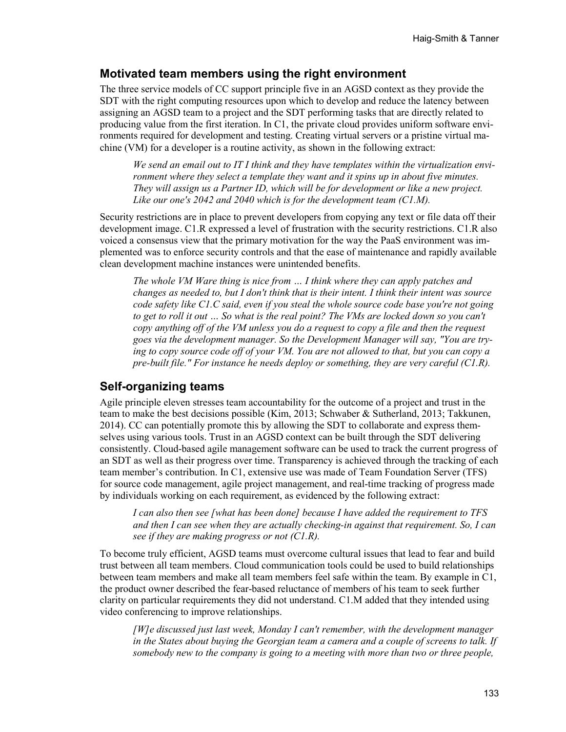### **Motivated team members using the right environment**

The three service models of CC support principle five in an AGSD context as they provide the SDT with the right computing resources upon which to develop and reduce the latency between assigning an AGSD team to a project and the SDT performing tasks that are directly related to producing value from the first iteration. In C1, the private cloud provides uniform software environments required for development and testing. Creating virtual servers or a pristine virtual machine (VM) for a developer is a routine activity, as shown in the following extract:

*We send an email out to IT I think and they have templates within the virtualization environment where they select a template they want and it spins up in about five minutes. They will assign us a Partner ID, which will be for development or like a new project. Like our one's 2042 and 2040 which is for the development team (C1.M).*

Security restrictions are in place to prevent developers from copying any text or file data off their development image. C1.R expressed a level of frustration with the security restrictions. C1.R also voiced a consensus view that the primary motivation for the way the PaaS environment was implemented was to enforce security controls and that the ease of maintenance and rapidly available clean development machine instances were unintended benefits.

*The whole VM Ware thing is nice from … I think where they can apply patches and changes as needed to, but I don't think that is their intent. I think their intent was source code safety like C1.C said, even if you steal the whole source code base you're not going to get to roll it out … So what is the real point? The VMs are locked down so you can't copy anything off of the VM unless you do a request to copy a file and then the request goes via the development manager. So the Development Manager will say, "You are trying to copy source code off of your VM. You are not allowed to that, but you can copy a pre-built file." For instance he needs deploy or something, they are very careful (C1.R).*

### **Self-organizing teams**

Agile principle eleven stresses team accountability for the outcome of a project and trust in the team to make the best decisions possible (Kim, 2013; Schwaber & Sutherland, 2013; Takkunen, 2014). CC can potentially promote this by allowing the SDT to collaborate and express themselves using various tools. Trust in an AGSD context can be built through the SDT delivering consistently. Cloud-based agile management software can be used to track the current progress of an SDT as well as their progress over time. Transparency is achieved through the tracking of each team member's contribution. In C1, extensive use was made of Team Foundation Server (TFS) for source code management, agile project management, and real-time tracking of progress made by individuals working on each requirement, as evidenced by the following extract:

*I can also then see [what has been done] because I have added the requirement to TFS and then I can see when they are actually checking-in against that requirement. So, I can see if they are making progress or not (C1.R).*

To become truly efficient, AGSD teams must overcome cultural issues that lead to fear and build trust between all team members. Cloud communication tools could be used to build relationships between team members and make all team members feel safe within the team. By example in C1, the product owner described the fear-based reluctance of members of his team to seek further clarity on particular requirements they did not understand. C1.M added that they intended using video conferencing to improve relationships.

*[W]e discussed just last week, Monday I can't remember, with the development manager in the States about buying the Georgian team a camera and a couple of screens to talk. If somebody new to the company is going to a meeting with more than two or three people,*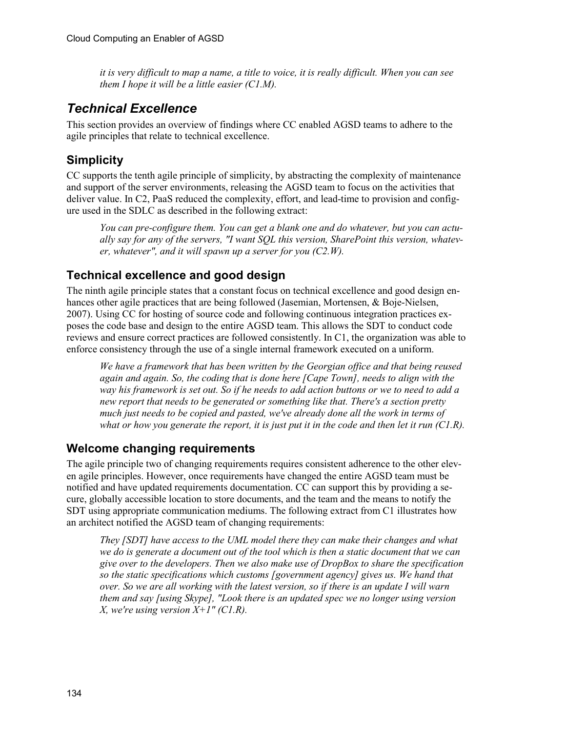*it is very difficult to map a name, a title to voice, it is really difficult. When you can see them I hope it will be a little easier (C1.M).*

## *Technical Excellence*

This section provides an overview of findings where CC enabled AGSD teams to adhere to the agile principles that relate to technical excellence.

## **Simplicity**

CC supports the tenth agile principle of simplicity, by abstracting the complexity of maintenance and support of the server environments, releasing the AGSD team to focus on the activities that deliver value. In C2, PaaS reduced the complexity, effort, and lead-time to provision and configure used in the SDLC as described in the following extract:

*You can pre-configure them. You can get a blank one and do whatever, but you can actually say for any of the servers, "I want SQL this version, SharePoint this version, whatever, whatever", and it will spawn up a server for you (C2.W).*

## **Technical excellence and good design**

The ninth agile principle states that a constant focus on technical excellence and good design enhances other agile practices that are being followed (Jasemian, Mortensen, & Boje-Nielsen, 2007). Using CC for hosting of source code and following continuous integration practices exposes the code base and design to the entire AGSD team. This allows the SDT to conduct code reviews and ensure correct practices are followed consistently. In C1, the organization was able to enforce consistency through the use of a single internal framework executed on a uniform.

*We have a framework that has been written by the Georgian office and that being reused again and again. So, the coding that is done here [Cape Town], needs to align with the way his framework is set out. So if he needs to add action buttons or we to need to add a new report that needs to be generated or something like that. There's a section pretty much just needs to be copied and pasted, we've already done all the work in terms of what or how you generate the report, it is just put it in the code and then let it run (C1.R).*

## **Welcome changing requirements**

The agile principle two of changing requirements requires consistent adherence to the other eleven agile principles. However, once requirements have changed the entire AGSD team must be notified and have updated requirements documentation. CC can support this by providing a secure, globally accessible location to store documents, and the team and the means to notify the SDT using appropriate communication mediums. The following extract from C1 illustrates how an architect notified the AGSD team of changing requirements:

*They [SDT] have access to the UML model there they can make their changes and what we do is generate a document out of the tool which is then a static document that we can give over to the developers. Then we also make use of DropBox to share the specification so the static specifications which customs [government agency] gives us. We hand that over. So we are all working with the latest version, so if there is an update I will warn them and say [using Skype], "Look there is an updated spec we no longer using version X, we're using version X+1" (C1.R).*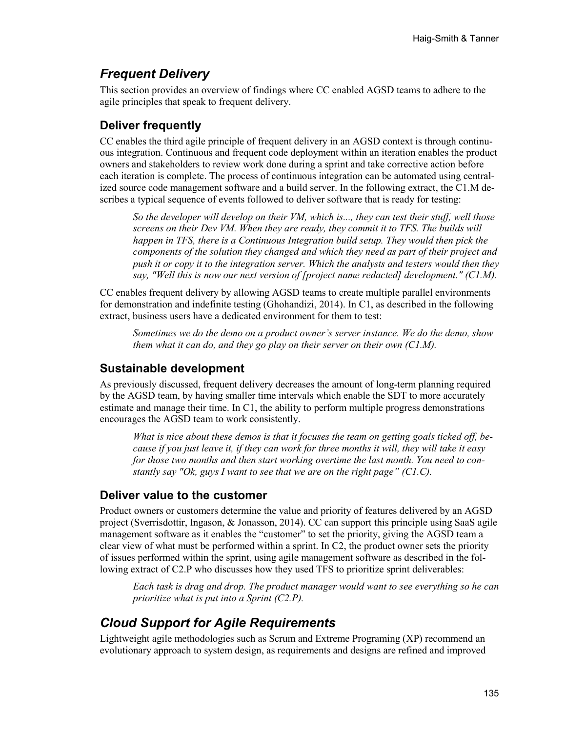## *Frequent Delivery*

This section provides an overview of findings where CC enabled AGSD teams to adhere to the agile principles that speak to frequent delivery.

## **Deliver frequently**

CC enables the third agile principle of frequent delivery in an AGSD context is through continuous integration. Continuous and frequent code deployment within an iteration enables the product owners and stakeholders to review work done during a sprint and take corrective action before each iteration is complete. The process of continuous integration can be automated using centralized source code management software and a build server. In the following extract, the C1.M describes a typical sequence of events followed to deliver software that is ready for testing:

*So the developer will develop on their VM, which is..., they can test their stuff, well those screens on their Dev VM. When they are ready, they commit it to TFS. The builds will happen in TFS, there is a Continuous Integration build setup. They would then pick the components of the solution they changed and which they need as part of their project and push it or copy it to the integration server. Which the analysts and testers would then they say, "Well this is now our next version of [project name redacted] development." (C1.M).*

CC enables frequent delivery by allowing AGSD teams to create multiple parallel environments for demonstration and indefinite testing (Ghohandizi, 2014). In C1, as described in the following extract, business users have a dedicated environment for them to test:

*Sometimes we do the demo on a product owner's server instance. We do the demo, show them what it can do, and they go play on their server on their own (C1.M).*

### **Sustainable development**

As previously discussed, frequent delivery decreases the amount of long-term planning required by the AGSD team, by having smaller time intervals which enable the SDT to more accurately estimate and manage their time. In C1, the ability to perform multiple progress demonstrations encourages the AGSD team to work consistently.

*What is nice about these demos is that it focuses the team on getting goals ticked off, because if you just leave it, if they can work for three months it will, they will take it easy for those two months and then start working overtime the last month. You need to constantly say "Ok, guys I want to see that we are on the right page" (C1.C).*

### **Deliver value to the customer**

Product owners or customers determine the value and priority of features delivered by an AGSD project (Sverrisdottir, Ingason, & Jonasson, 2014). CC can support this principle using SaaS agile management software as it enables the "customer" to set the priority, giving the AGSD team a clear view of what must be performed within a sprint. In C2, the product owner sets the priority of issues performed within the sprint, using agile management software as described in the following extract of C2.P who discusses how they used TFS to prioritize sprint deliverables:

*Each task is drag and drop. The product manager would want to see everything so he can prioritize what is put into a Sprint (C2.P).*

## *Cloud Support for Agile Requirements*

Lightweight agile methodologies such as Scrum and Extreme Programing (XP) recommend an evolutionary approach to system design, as requirements and designs are refined and improved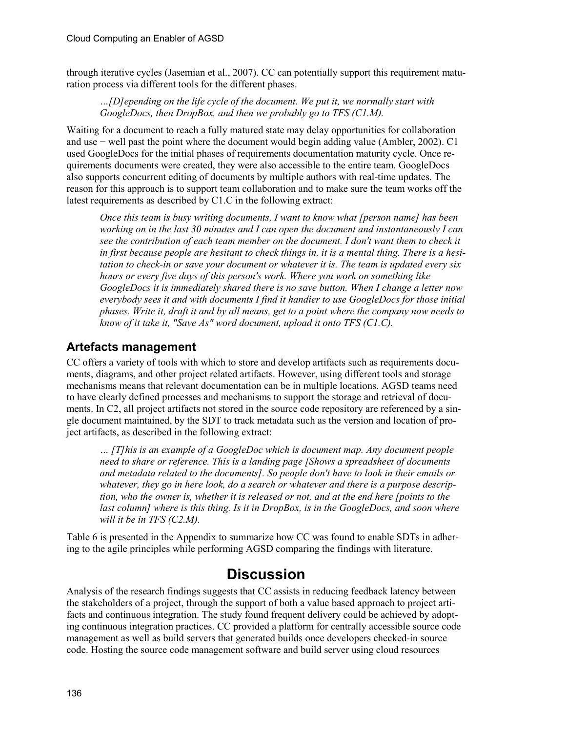through iterative cycles (Jasemian et al., 2007). CC can potentially support this requirement maturation process via different tools for the different phases.

#### *…[D]epending on the life cycle of the document. We put it, we normally start with GoogleDocs, then DropBox, and then we probably go to TFS (C1.M).*

Waiting for a document to reach a fully matured state may delay opportunities for collaboration and use − well past the point where the document would begin adding value (Ambler, 2002). C1 used GoogleDocs for the initial phases of requirements documentation maturity cycle. Once requirements documents were created, they were also accessible to the entire team. GoogleDocs also supports concurrent editing of documents by multiple authors with real-time updates. The reason for this approach is to support team collaboration and to make sure the team works off the latest requirements as described by C1.C in the following extract:

*Once this team is busy writing documents, I want to know what [person name] has been working on in the last 30 minutes and I can open the document and instantaneously I can see the contribution of each team member on the document. I don't want them to check it in first because people are hesitant to check things in, it is a mental thing. There is a hesitation to check-in or save your document or whatever it is. The team is updated every six hours or every five days of this person's work. Where you work on something like GoogleDocs it is immediately shared there is no save button. When I change a letter now everybody sees it and with documents I find it handier to use GoogleDocs for those initial phases. Write it, draft it and by all means, get to a point where the company now needs to know of it take it, "Save As" word document, upload it onto TFS (C1.C).*

## **Artefacts management**

CC offers a variety of tools with which to store and develop artifacts such as requirements documents, diagrams, and other project related artifacts. However, using different tools and storage mechanisms means that relevant documentation can be in multiple locations. AGSD teams need to have clearly defined processes and mechanisms to support the storage and retrieval of documents. In C2, all project artifacts not stored in the source code repository are referenced by a single document maintained, by the SDT to track metadata such as the version and location of project artifacts, as described in the following extract:

*… [T]his is an example of a GoogleDoc which is document map. Any document people need to share or reference. This is a landing page [Shows a spreadsheet of documents and metadata related to the documents]. So people don't have to look in their emails or whatever, they go in here look, do a search or whatever and there is a purpose description, who the owner is, whether it is released or not, and at the end here [points to the last column] where is this thing. Is it in DropBox, is in the GoogleDocs, and soon where will it be in TFS (C2.M).*

Table 6 is presented in the Appendix to summarize how CC was found to enable SDTs in adhering to the agile principles while performing AGSD comparing the findings with literature.

# **Discussion**

Analysis of the research findings suggests that CC assists in reducing feedback latency between the stakeholders of a project, through the support of both a value based approach to project artifacts and continuous integration. The study found frequent delivery could be achieved by adopting continuous integration practices. CC provided a platform for centrally accessible source code management as well as build servers that generated builds once developers checked-in source code. Hosting the source code management software and build server using cloud resources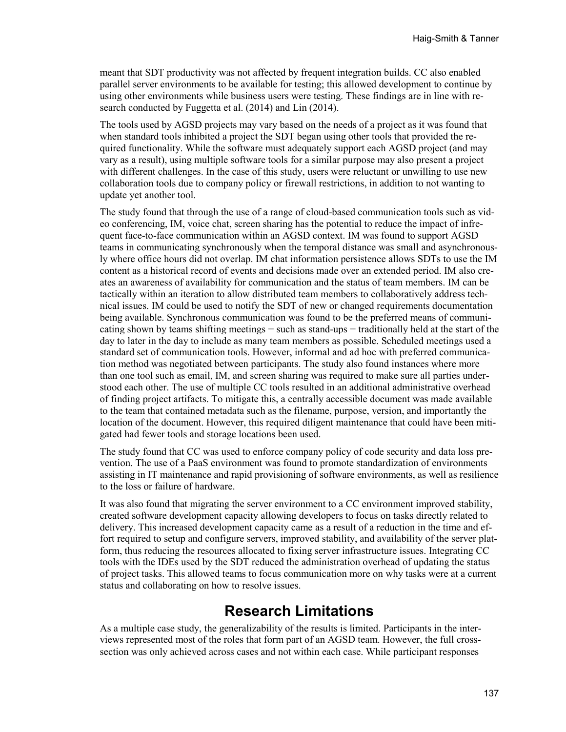meant that SDT productivity was not affected by frequent integration builds. CC also enabled parallel server environments to be available for testing; this allowed development to continue by using other environments while business users were testing. These findings are in line with research conducted by Fuggetta et al. (2014) and Lin (2014).

The tools used by AGSD projects may vary based on the needs of a project as it was found that when standard tools inhibited a project the SDT began using other tools that provided the required functionality. While the software must adequately support each AGSD project (and may vary as a result), using multiple software tools for a similar purpose may also present a project with different challenges. In the case of this study, users were reluctant or unwilling to use new collaboration tools due to company policy or firewall restrictions, in addition to not wanting to update yet another tool.

The study found that through the use of a range of cloud-based communication tools such as video conferencing, IM, voice chat, screen sharing has the potential to reduce the impact of infrequent face-to-face communication within an AGSD context. IM was found to support AGSD teams in communicating synchronously when the temporal distance was small and asynchronously where office hours did not overlap. IM chat information persistence allows SDTs to use the IM content as a historical record of events and decisions made over an extended period. IM also creates an awareness of availability for communication and the status of team members. IM can be tactically within an iteration to allow distributed team members to collaboratively address technical issues. IM could be used to notify the SDT of new or changed requirements documentation being available. Synchronous communication was found to be the preferred means of communicating shown by teams shifting meetings − such as stand-ups − traditionally held at the start of the day to later in the day to include as many team members as possible. Scheduled meetings used a standard set of communication tools. However, informal and ad hoc with preferred communication method was negotiated between participants. The study also found instances where more than one tool such as email, IM, and screen sharing was required to make sure all parties understood each other. The use of multiple CC tools resulted in an additional administrative overhead of finding project artifacts. To mitigate this, a centrally accessible document was made available to the team that contained metadata such as the filename, purpose, version, and importantly the location of the document. However, this required diligent maintenance that could have been mitigated had fewer tools and storage locations been used.

The study found that CC was used to enforce company policy of code security and data loss prevention. The use of a PaaS environment was found to promote standardization of environments assisting in IT maintenance and rapid provisioning of software environments, as well as resilience to the loss or failure of hardware.

It was also found that migrating the server environment to a CC environment improved stability, created software development capacity allowing developers to focus on tasks directly related to delivery. This increased development capacity came as a result of a reduction in the time and effort required to setup and configure servers, improved stability, and availability of the server platform, thus reducing the resources allocated to fixing server infrastructure issues. Integrating CC tools with the IDEs used by the SDT reduced the administration overhead of updating the status of project tasks. This allowed teams to focus communication more on why tasks were at a current status and collaborating on how to resolve issues.

## **Research Limitations**

As a multiple case study, the generalizability of the results is limited. Participants in the interviews represented most of the roles that form part of an AGSD team. However, the full crosssection was only achieved across cases and not within each case. While participant responses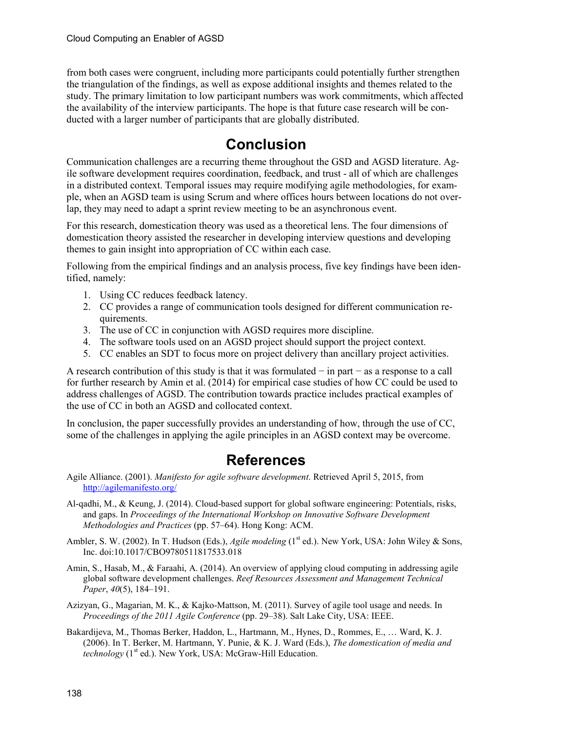from both cases were congruent, including more participants could potentially further strengthen the triangulation of the findings, as well as expose additional insights and themes related to the study. The primary limitation to low participant numbers was work commitments, which affected the availability of the interview participants. The hope is that future case research will be conducted with a larger number of participants that are globally distributed.

# **Conclusion**

Communication challenges are a recurring theme throughout the GSD and AGSD literature. Agile software development requires coordination, feedback, and trust - all of which are challenges in a distributed context. Temporal issues may require modifying agile methodologies, for example, when an AGSD team is using Scrum and where offices hours between locations do not overlap, they may need to adapt a sprint review meeting to be an asynchronous event.

For this research, domestication theory was used as a theoretical lens. The four dimensions of domestication theory assisted the researcher in developing interview questions and developing themes to gain insight into appropriation of CC within each case.

Following from the empirical findings and an analysis process, five key findings have been identified, namely:

- 1. Using CC reduces feedback latency.
- 2. CC provides a range of communication tools designed for different communication requirements.
- 3. The use of CC in conjunction with AGSD requires more discipline.
- 4. The software tools used on an AGSD project should support the project context.
- 5. CC enables an SDT to focus more on project delivery than ancillary project activities.

A research contribution of this study is that it was formulated − in part − as a response to a call for further research by Amin et al. (2014) for empirical case studies of how CC could be used to address challenges of AGSD. The contribution towards practice includes practical examples of the use of CC in both an AGSD and collocated context.

In conclusion, the paper successfully provides an understanding of how, through the use of CC, some of the challenges in applying the agile principles in an AGSD context may be overcome.

# **References**

- Agile Alliance. (2001). *Manifesto for agile software development*. Retrieved April 5, 2015, from <http://agilemanifesto.org/>
- Al-qadhi, M., & Keung, J. (2014). Cloud-based support for global software engineering: Potentials, risks, and gaps. In *Proceedings of the International Workshop on Innovative Software Development Methodologies and Practices* (pp. 57–64). Hong Kong: ACM.
- Ambler, S. W. (2002). In T. Hudson (Eds.), *Agile modeling* (1<sup>st</sup> ed.). New York, USA: John Wiley & Sons, Inc. doi:10.1017/CBO9780511817533.018
- Amin, S., Hasab, M., & Faraahi, A. (2014). An overview of applying cloud computing in addressing agile global software development challenges. *Reef Resources Assessment and Management Technical Paper*, *40*(5), 184–191.
- Azizyan, G., Magarian, M. K., & Kajko-Mattson, M. (2011). Survey of agile tool usage and needs. In *Proceedings of the 2011 Agile Conference* (pp. 29–38). Salt Lake City, USA: IEEE.
- Bakardijeva, M., Thomas Berker, Haddon, L., Hartmann, M., Hynes, D., Rommes, E., … Ward, K. J. (2006). In T. Berker, M. Hartmann, Y. Punie, & K. J. Ward (Eds.), *The domestication of media and technology* (1<sup>st</sup> ed.). New York, USA: McGraw-Hill Education.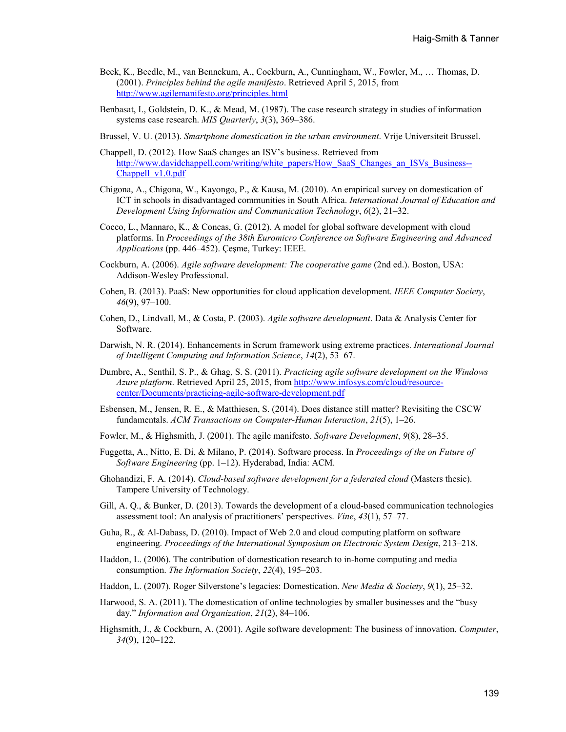- Beck, K., Beedle, M., van Bennekum, A., Cockburn, A., Cunningham, W., Fowler, M., … Thomas, D. (2001). *Principles behind the agile manifesto*. Retrieved April 5, 2015, from <http://www.agilemanifesto.org/principles.html>
- Benbasat, I., Goldstein, D. K., & Mead, M. (1987). The case research strategy in studies of information systems case research. *MIS Quarterly*, *3*(3), 369–386.
- Brussel, V. U. (2013). *Smartphone domestication in the urban environment*. Vrije Universiteit Brussel.
- Chappell, D. (2012). How SaaS changes an ISV's business. Retrieved from [http://www.davidchappell.com/writing/white\\_papers/How\\_SaaS\\_Changes\\_an\\_ISVs\\_Business--](http://www.davidchappell.com/writing/white_papers/How_SaaS_Changes_an_ISVs_Business--Chappell_v1.0.pdf) [Chappell\\_v1.0.pdf](http://www.davidchappell.com/writing/white_papers/How_SaaS_Changes_an_ISVs_Business--Chappell_v1.0.pdf)
- Chigona, A., Chigona, W., Kayongo, P., & Kausa, M. (2010). An empirical survey on domestication of ICT in schools in disadvantaged communities in South Africa. *International Journal of Education and Development Using Information and Communication Technology*, *6*(2), 21–32.
- Cocco, L., Mannaro, K., & Concas, G. (2012). A model for global software development with cloud platforms. In *Proceedings of the 38th Euromicro Conference on Software Engineering and Advanced Applications* (pp. 446–452). Çeşme, Turkey: IEEE.
- Cockburn, A. (2006). *Agile software development: The cooperative game* (2nd ed.). Boston, USA: Addison-Wesley Professional.
- Cohen, B. (2013). PaaS: New opportunities for cloud application development. *IEEE Computer Society*, *46*(9), 97–100.
- Cohen, D., Lindvall, M., & Costa, P. (2003). *Agile software development*. Data & Analysis Center for Software.
- Darwish, N. R. (2014). Enhancements in Scrum framework using extreme practices. *International Journal of Intelligent Computing and Information Science*, *14*(2), 53–67.
- Dumbre, A., Senthil, S. P., & Ghag, S. S. (2011). *Practicing agile software development on the Windows Azure platform*. Retrieved April 25, 2015, from [http://www.infosys.com/cloud/resource](http://www.infosys.com/cloud/resource-center/Documents/practicing-agile-software-development.pdf)[center/Documents/practicing-agile-software-development.pdf](http://www.infosys.com/cloud/resource-center/Documents/practicing-agile-software-development.pdf)
- Esbensen, M., Jensen, R. E., & Matthiesen, S. (2014). Does distance still matter? Revisiting the CSCW fundamentals. *ACM Transactions on Computer-Human Interaction*, *21*(5), 1–26.
- Fowler, M., & Highsmith, J. (2001). The agile manifesto. *Software Development*, *9*(8), 28–35.
- Fuggetta, A., Nitto, E. Di, & Milano, P. (2014). Software process. In *Proceedings of the on Future of Software Engineering* (pp. 1–12). Hyderabad, India: ACM.
- Ghohandizi, F. A. (2014). *Cloud-based software development for a federated cloud* (Masters thesie). Tampere University of Technology.
- Gill, A. Q., & Bunker, D. (2013). Towards the development of a cloud-based communication technologies assessment tool: An analysis of practitioners' perspectives. *Vine*, *43*(1), 57–77.
- Guha, R., & Al-Dabass, D. (2010). Impact of Web 2.0 and cloud computing platform on software engineering. *Proceedings of the International Symposium on Electronic System Design*, 213–218.
- Haddon, L. (2006). The contribution of domestication research to in-home computing and media consumption. *The Information Society*, *22*(4), 195–203.
- Haddon, L. (2007). Roger Silverstone's legacies: Domestication. *New Media & Society*, *9*(1), 25–32.
- Harwood, S. A. (2011). The domestication of online technologies by smaller businesses and the "busy day." *Information and Organization*, *21*(2), 84–106.
- Highsmith, J., & Cockburn, A. (2001). Agile software development: The business of innovation. *Computer*, *34*(9), 120–122.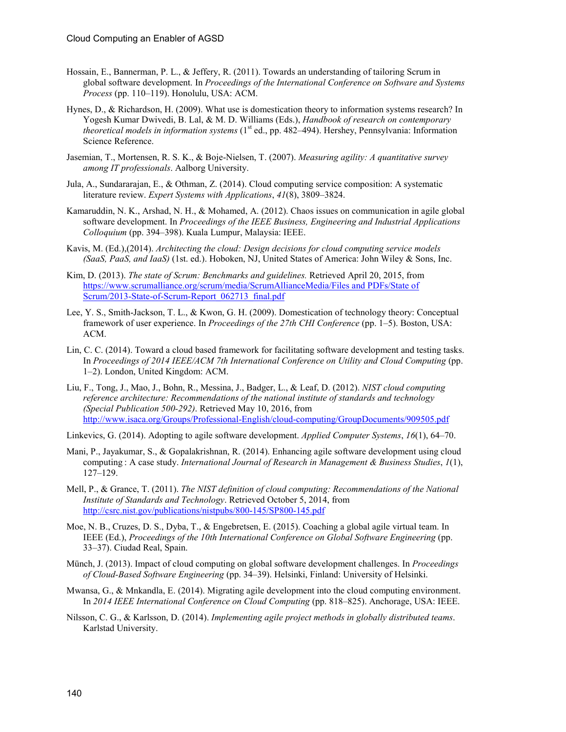- Hossain, E., Bannerman, P. L., & Jeffery, R. (2011). Towards an understanding of tailoring Scrum in global software development. In *Proceedings of the International Conference on Software and Systems Process* (pp. 110–119). Honolulu, USA: ACM.
- Hynes, D., & Richardson, H. (2009). What use is domestication theory to information systems research? In Yogesh Kumar Dwivedi, B. Lal, & M. D. Williams (Eds.), *Handbook of research on contemporary theoretical models in information systems* (1<sup>st</sup> ed., pp. 482–494). Hershey, Pennsylvania: Information Science Reference.
- Jasemian, T., Mortensen, R. S. K., & Boje-Nielsen, T. (2007). *Measuring agility: A quantitative survey among IT professionals*. Aalborg University.
- Jula, A., Sundararajan, E., & Othman, Z. (2014). Cloud computing service composition: A systematic literature review. *Expert Systems with Applications*, *41*(8), 3809–3824.
- Kamaruddin, N. K., Arshad, N. H., & Mohamed, A. (2012). Chaos issues on communication in agile global software development. In *Proceedings of the IEEE Business, Engineering and Industrial Applications Colloquium* (pp. 394–398). Kuala Lumpur, Malaysia: IEEE.
- Kavis, M. (Ed.),(2014). *Architecting the cloud: Design decisions for cloud computing service models (SaaS, PaaS, and IaaS)* (1st. ed.). Hoboken, NJ, United States of America: John Wiley & Sons, Inc.
- Kim, D. (2013). *The state of Scrum: Benchmarks and guidelines.* Retrieved April 20, 2015, from [https://www.scrumalliance.org/scrum/media/ScrumAllianceMedia/Files and PDFs/State of](https://www.scrumalliance.org/scrum/media/ScrumAllianceMedia/Files%20and%20PDFs/State%20of%20Scrum/2013-State-of-Scrum-Report_062713_final.pdf)  [Scrum/2013-State-of-Scrum-Report\\_062713\\_final.pdf](https://www.scrumalliance.org/scrum/media/ScrumAllianceMedia/Files%20and%20PDFs/State%20of%20Scrum/2013-State-of-Scrum-Report_062713_final.pdf)
- Lee, Y. S., Smith-Jackson, T. L., & Kwon, G. H. (2009). Domestication of technology theory: Conceptual framework of user experience. In *Proceedings of the 27th CHI Conference* (pp. 1–5). Boston, USA: ACM.
- Lin, C. C. (2014). Toward a cloud based framework for facilitating software development and testing tasks. In *Proceedings of 2014 IEEE/ACM 7th International Conference on Utility and Cloud Computing* (pp. 1–2). London, United Kingdom: ACM.
- Liu, F., Tong, J., Mao, J., Bohn, R., Messina, J., Badger, L., & Leaf, D. (2012). *NIST cloud computing reference architecture: Recommendations of the national institute of standards and technology (Special Publication 500-292)*. Retrieved May 10, 2016, from <http://www.isaca.org/Groups/Professional-English/cloud-computing/GroupDocuments/909505.pdf>
- Linkevics, G. (2014). Adopting to agile software development. *Applied Computer Systems*, *16*(1), 64–70.
- Mani, P., Jayakumar, S., & Gopalakrishnan, R. (2014). Enhancing agile software development using cloud computing : A case study. *International Journal of Research in Management & Business Studies*, *1*(1), 127–129.
- Mell, P., & Grance, T. (2011). *The NIST definition of cloud computing: Recommendations of the National Institute of Standards and Technology*. Retrieved October 5, 2014, from <http://csrc.nist.gov/publications/nistpubs/800-145/SP800-145.pdf>
- Moe, N. B., Cruzes, D. S., Dyba, T., & Engebretsen, E. (2015). Coaching a global agile virtual team. In IEEE (Ed.), *Proceedings of the 10th International Conference on Global Software Engineering* (pp. 33–37). Ciudad Real, Spain.
- Münch, J. (2013). Impact of cloud computing on global software development challenges. In *Proceedings of Cloud-Based Software Engineering* (pp. 34–39). Helsinki, Finland: University of Helsinki.
- Mwansa, G., & Mnkandla, E. (2014). Migrating agile development into the cloud computing environment. In *2014 IEEE International Conference on Cloud Computing* (pp. 818–825). Anchorage, USA: IEEE.
- Nilsson, C. G., & Karlsson, D. (2014). *Implementing agile project methods in globally distributed teams*. Karlstad University.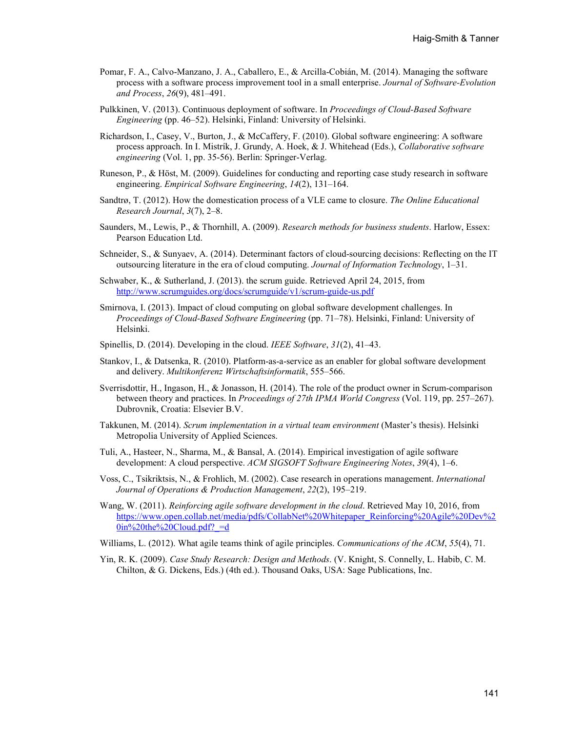- Pomar, F. A., Calvo-Manzano, J. A., Caballero, E., & Arcilla-Cobián, M. (2014). Managing the software process with a software process improvement tool in a small enterprise. *Journal of Software-Evolution and Process*, *26*(9), 481–491.
- Pulkkinen, V. (2013). Continuous deployment of software. In *Proceedings of Cloud-Based Software Engineering* (pp. 46–52). Helsinki, Finland: University of Helsinki.
- Richardson, I., Casey, V., Burton, J., & McCaffery, F. (2010). Global software engineering: A software process approach. In I. Mistrík, J. Grundy, A. Hoek, & J. Whitehead (Eds.), *Collaborative software engineering* (Vol. 1, pp. 35-56). Berlin: Springer-Verlag.
- Runeson, P., & Höst, M. (2009). Guidelines for conducting and reporting case study research in software engineering. *Empirical Software Engineering*, *14*(2), 131–164.
- Sandtrø, T. (2012). How the domestication process of a VLE came to closure. *The Online Educational Research Journal*, *3*(7), 2–8.
- Saunders, M., Lewis, P., & Thornhill, A. (2009). *Research methods for business students*. Harlow, Essex: Pearson Education Ltd.
- Schneider, S., & Sunyaev, A. (2014). Determinant factors of cloud-sourcing decisions: Reflecting on the IT outsourcing literature in the era of cloud computing. *Journal of Information Technology*, 1–31.
- Schwaber, K., & Sutherland, J. (2013). the scrum guide. Retrieved April 24, 2015, from <http://www.scrumguides.org/docs/scrumguide/v1/scrum-guide-us.pdf>
- Smirnova, I. (2013). Impact of cloud computing on global software development challenges. In *Proceedings of Cloud-Based Software Engineering* (pp. 71–78). Helsinki, Finland: University of Helsinki.
- Spinellis, D. (2014). Developing in the cloud. *IEEE Software*, *31*(2), 41–43.
- Stankov, I., & Datsenka, R. (2010). Platform-as-a-service as an enabler for global software development and delivery. *Multikonferenz Wirtschaftsinformatik*, 555–566.
- Sverrisdottir, H., Ingason, H., & Jonasson, H. (2014). The role of the product owner in Scrum-comparison between theory and practices. In *Proceedings of 27th IPMA World Congress* (Vol. 119, pp. 257–267). Dubrovnik, Croatia: Elsevier B.V.
- Takkunen, M. (2014). *Scrum implementation in a virtual team environment* (Master's thesis). Helsinki Metropolia University of Applied Sciences.
- Tuli, A., Hasteer, N., Sharma, M., & Bansal, A. (2014). Empirical investigation of agile software development: A cloud perspective. *ACM SIGSOFT Software Engineering Notes*, *39*(4), 1–6.
- Voss, C., Tsikriktsis, N., & Frohlich, M. (2002). Case research in operations management. *International Journal of Operations & Production Management*, *22*(2), 195–219.
- Wang, W. (2011). *Reinforcing agile software development in the cloud*. Retrieved May 10, 2016, from [https://www.open.collab.net/media/pdfs/CollabNet%20Whitepaper\\_Reinforcing%20Agile%20Dev%2](https://www.open.collab.net/media/pdfs/CollabNet%20Whitepaper_Reinforcing%20Agile%20Dev%20in%20the%20Cloud.pdf?_=d)  $0in\%20$ the%20Cloud.pdf? =d

Williams, L. (2012). What agile teams think of agile principles. *Communications of the ACM*, *55*(4), 71.

Yin, R. K. (2009). *Case Study Research: Design and Methods*. (V. Knight, S. Connelly, L. Habib, C. M. Chilton, & G. Dickens, Eds.) (4th ed.). Thousand Oaks, USA: Sage Publications, Inc.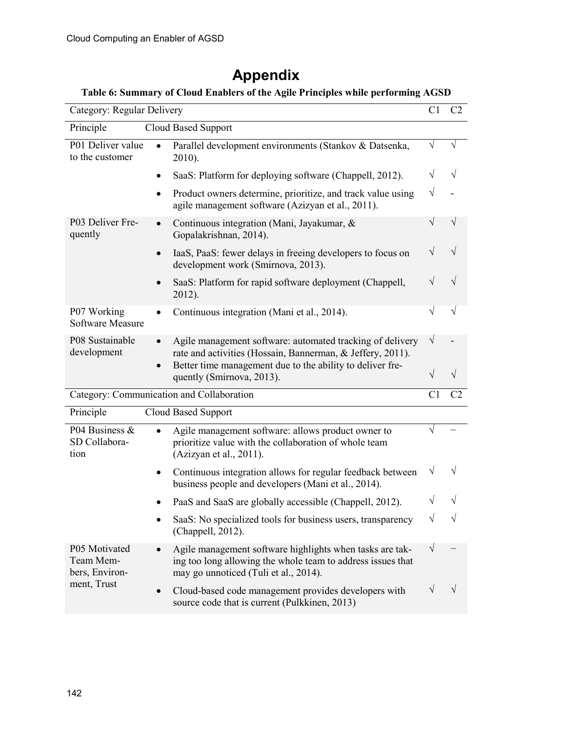| Appendix |  |
|----------|--|
|----------|--|

### **Table 6: Summary of Cloud Enablers of the Agile Principles while performing AGSD**

| Category: Regular Delivery                   |                                                                                                                                                                  | C1        | C <sub>2</sub> |
|----------------------------------------------|------------------------------------------------------------------------------------------------------------------------------------------------------------------|-----------|----------------|
| Principle                                    | Cloud Based Support                                                                                                                                              |           |                |
| P01 Deliver value<br>to the customer         | Parallel development environments (Stankov & Datsenka,<br>2010).                                                                                                 | V         | V              |
|                                              | SaaS: Platform for deploying software (Chappell, 2012).<br>$\bullet$                                                                                             | V         | V              |
|                                              | Product owners determine, prioritize, and track value using<br>agile management software (Azizyan et al., 2011).                                                 | V         |                |
| P03 Deliver Fre-<br>quently                  | Continuous integration (Mani, Jayakumar, &<br>Gopalakrishnan, 2014).                                                                                             | V         | V              |
|                                              | IaaS, PaaS: fewer delays in freeing developers to focus on<br>$\bullet$<br>development work (Smirnova, 2013).                                                    | V         | V              |
|                                              | SaaS: Platform for rapid software deployment (Chappell,<br>2012).                                                                                                |           |                |
| P07 Working<br><b>Software Measure</b>       | Continuous integration (Mani et al., 2014).                                                                                                                      | V         |                |
| P08 Sustainable<br>development               | Agile management software: automated tracking of delivery<br>rate and activities (Hossain, Bannerman, & Jeffery, 2011).                                          | V         |                |
|                                              | Better time management due to the ability to deliver fre-<br>quently (Smirnova, 2013).                                                                           | V         |                |
| Category: Communication and Collaboration    |                                                                                                                                                                  |           |                |
| Principle                                    | <b>Cloud Based Support</b>                                                                                                                                       |           |                |
| P04 Business &<br>SD Collabora-<br>tion      | Agile management software: allows product owner to<br>prioritize value with the collaboration of whole team<br>(Azizyan et al., 2011).                           |           |                |
|                                              | Continuous integration allows for regular feedback between<br>٠<br>business people and developers (Mani et al., 2014).                                           | V         |                |
|                                              | PaaS and SaaS are globally accessible (Chappell, 2012).                                                                                                          |           |                |
|                                              | SaaS: No specialized tools for business users, transparency<br>(Chappell, 2012).                                                                                 | $\sqrt{}$ |                |
| P05 Motivated<br>Team Mem-<br>bers, Environ- | Agile management software highlights when tasks are tak-<br>ing too long allowing the whole team to address issues that<br>may go unnoticed (Tuli et al., 2014). | V         |                |
| ment, Trust                                  | Cloud-based code management provides developers with<br>source code that is current (Pulkkinen, 2013)                                                            |           |                |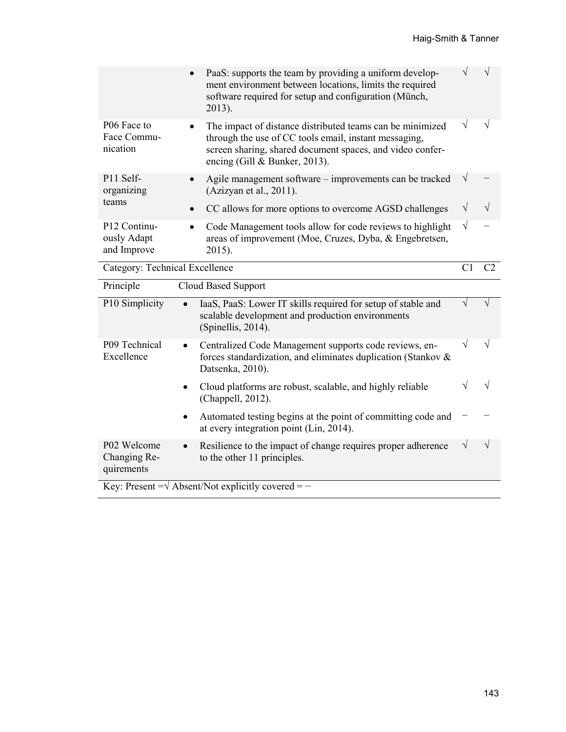| $\bullet$                                                           | PaaS: supports the team by providing a uniform develop-<br>ment environment between locations, limits the required<br>software required for setup and configuration (Münch,<br>2013).                            | ٦         |   |
|---------------------------------------------------------------------|------------------------------------------------------------------------------------------------------------------------------------------------------------------------------------------------------------------|-----------|---|
| P <sub>06</sub> Face to<br>$\bullet$<br>Face Commu-<br>nication     | The impact of distance distributed teams can be minimized<br>through the use of CC tools email, instant messaging,<br>screen sharing, shared document spaces, and video confer-<br>encing (Gill & Bunker, 2013). | V         | N |
| P11 Self-<br>$\bullet$<br>organizing                                | Agile management software – improvements can be tracked<br>(Azizyan et al., 2011).                                                                                                                               | V         |   |
| teams<br>$\bullet$                                                  | CC allows for more options to overcome AGSD challenges                                                                                                                                                           | V         | V |
| P <sub>12</sub> Continu-<br>$\bullet$<br>ously Adapt<br>and Improve | Code Management tools allow for code reviews to highlight<br>areas of improvement (Moe, Cruzes, Dyba, & Engebretsen,<br>2015).                                                                                   | $\sqrt{}$ |   |
| Category: Technical Excellence                                      |                                                                                                                                                                                                                  |           |   |

| Principle                                 | Cloud Based Support                                                                                                                                      |   |               |
|-------------------------------------------|----------------------------------------------------------------------------------------------------------------------------------------------------------|---|---------------|
| P10 Simplicity                            | IaaS, PaaS: Lower IT skills required for setup of stable and<br>scalable development and production environments<br>(Spinellis, 2014).                   |   |               |
| P09 Technical<br>Excellence               | Centralized Code Management supports code reviews, en-<br>$\bullet$<br>forces standardization, and eliminates duplication (Stankov &<br>Datsenka, 2010). | V | N             |
|                                           | Cloud platforms are robust, scalable, and highly reliable<br>(Chappell, 2012).                                                                           |   |               |
|                                           | Automated testing begins at the point of committing code and<br>$\bullet$<br>at every integration point (Lin, 2014).                                     |   |               |
| P02 Welcome<br>Changing Re-<br>quirements | Resilience to the impact of change requires proper adherence<br>$\bullet$<br>to the other 11 principles.                                                 | V | $\mathcal{N}$ |
|                                           | Key: Present = $\sqrt{\text{Absent}}$ Not explicitly covered = -                                                                                         |   |               |